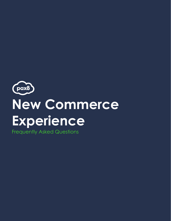

Frequently Asked Questions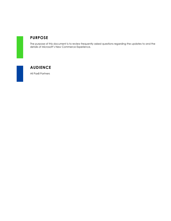

#### **PURPOSE**

The purpose of this document is to review frequently asked questions regarding the updates to and the details of Microsoft's New Commerce Experience.



### **AUDIENCE**

All Pax8 Partners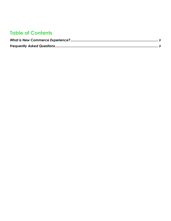# **Table of Contents**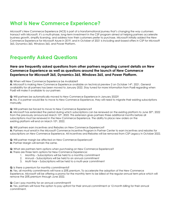# <span id="page-3-0"></span>**What is New Commerce Experience?**

Microsoft's New Commerce Experience (NCE) is part of a transformational journey that's changing the way customers transact with Microsoft. It's a multi-phase, long-term investment in the CSP program aimed at helping partners accelerate business growth, simplify licensing, and address how their customers prefer to purchase. Microsoft initially added the New Commerce Experience for Microsoft Azure in 2019, and in October of 2021 is including seat-based offers in CSP for Microsoft 365, Dynamics 365, Windows 365, and Power Platform.

## <span id="page-3-1"></span>**Frequently Asked Questions**

#### **Here are frequently asked questions from other partners regarding current details on New Commerce Experience as well as questions around the launch of New Commerce Experience for Microsoft 365, Dynamics 365, Windows 365, and Power Platform.**

**Q:** When will New Commerce Experience be Available?

**A:** Microsoft is making New Commerce Experience available on technical preview 2 on October 14th, 2021. General availability for all partners has been moved to January 2022. Stay tuned for more information from Pax8 regarding when Pax8 will make it available to our partners

**Q:** Will partners be automatically moved to New Commerce Experience in January 2022? **A:** No, if a partner would like to move to New Commerce Experience, they will need to migrate their existing subscriptions manually.

**Q:** Will partners be forced to move to New Commerce Experience?

A: Microsoft has extended the period during which subscriptions can be renewed on the existing platform to June 30<sup>th</sup>, 2022 from the previously announced March 10<sup>th</sup>, 2022. This extension gives partners three additional months before all subscriptions must be renewed in the New Commerce Experience. The ability to place new orders on the existing platform will end on March 10<sup>th</sup>, 2022.

**Q:** Will partners earn incentives and Rebates on New Commerce Experience? **A:** Partners must enroll in the Microsoft Commerce Incentive Program in Partner Center to earn incentives and rebates for subscriptions on New Commerce Experience. All Incentives and Rebates will be removed from CSP Legacy in October 2022.

**Q:** Will partner margin be affected on New Commerce Experience? **A:** Partner Margin will remain the same.

**Q:** What are partners term options when purchasing on New Commerce Experience? **A:** There are three term options for New Commerce Experience:

- 1. Monthly Subscriptions will be held to a monthly commitment
- 2. Annual Subscriptions will be held to an annual commitment
- 3. Multi-Year Subscriptions will be held to a multi-year commitment

#### **Q:** Is there a premium for monthly commitments?

**A:** Yes, all monthly commitments will have a 20% premium. To accelerate the adoption of the New Commerce Experience, Microsoft will be offering a promo for the monthly term to be billed at the regular annual term price which will remove the 20% premium through June 2022.

**Q:** Can I pay monthly for an annual commitment?

**A:** Yes, partners will have the option to pay upfront for their annual commitment or 12-month billing for their annual commitment.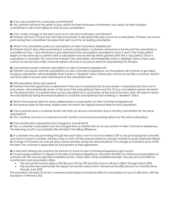**Q:** Can I pay monthly for a multi-year commitment?

**A:** Yes, partners will have the option to pay upfront for their multi-year commitment, pay yearly for their multiyear commitment or 36-month billing for their annual commitment.

**Q:** Can I make changes to the seat count on an annual or multi-year commitment?

**A:** Partners will have 72 hours from the time of purchase to decrease their seat counts for a subscription. Partners can at any point during their commitment increase their seat count for an existing subscription.

**Q:** What is the cancelation policy for subscriptions on New Commerce Experience?

**A:** Partners have 3 days after purchasing to cancel a subscription. Customers will receive a full refund if the subscription is cancelled on Day 1 and will receive a pro-rated refund for subscriptions cancelled on Days 2 and 3. The 3-day period begins on the same day a partner starts a subscription and no refunds will be granted after the 3 -day period. Once a subscription is canceled, this cannot be reversed. The subscription will immediately enter a "disabled" status where users cannot access services or files, however admins will have to access to data for subscription(s) for 90 days.

**Q:** Can partners pause customer subscriptions on New Commerce Experience?

**A:** Partners can pause customer subscriptions on New Commerce Experience, but the partner will continue to get billed. Pausing a subscription will immediately have it enter a "disabled" status where users cannot access files or services. Admins will still be able to access data until the end of the subscription term.

**Q:** Will subscription terms auto-renew?

**A:** Partners have the opportunity to determine if they want a subscription(s) to auto-renew. A Subscription(s) that is set to auto renew, will automatically renew at the end of the subscription(s) term and the 72-hour cancellation period will restart for the renewal term. If a partner does not set subscription(s) to auto-renew at the end of the term, they will need to renew the subscription(s) during the renewal period to avoid the subscription(s) from entering a "disabled" status.

**Q:** What is the renewal date for newly added seats to a subscription on New Commerce Experience? **A:** The renewal date for the newly added seats will match the original renewal date for that subscription.

**Q:** Can a partner have a customer tenant with both an annual commitment and a monthly commitment for the same subscription?

**A:** Yes, a partner can have a customer on both monthly and annual purchasing options for the same subscription.

**Q:** Can monthly term subscriptions be changed to annual term?

**A:** Yes, a customer's subscription can be changed from a monthly term to an annual term in New Commerce Experience. The following month's reconciliation file will reflect the billing difference.

**Q:** If customers who are purchasing through Microsoft direct want to move to Indirect CSP or are purchasing from one MSP and want to move to another, will they have to wait until the renewal period to change channel to avoid duplicate billing? **A:** Change of Channel can only be done without penalty during the renewal period. If a change of channel is done within the term, the customer is responsible for full payment of their agreement.

**Q:** Is Microsoft offering any incentive for partners to move to New Commerce Experience right away?

**A:** To encourage partners to migrate to the New Commerce Experience, Microsoft will offer two time-bound promotions to coincide with the January general availability launch. These offers will be available between January and June 2022 on monthly-term and annual-term offers.

- The annual term promo gives a 5% discount off the CSP price list amount will be in effect through March 2022
- The monthly term promo bills the regular annual term price which will remove the 20% premium on monthly terms through June 2022

The promotion will apply to all new commerce seat-based commercial offers for subscriptions of up to 2,400 seats, with the exception of Windows 365.